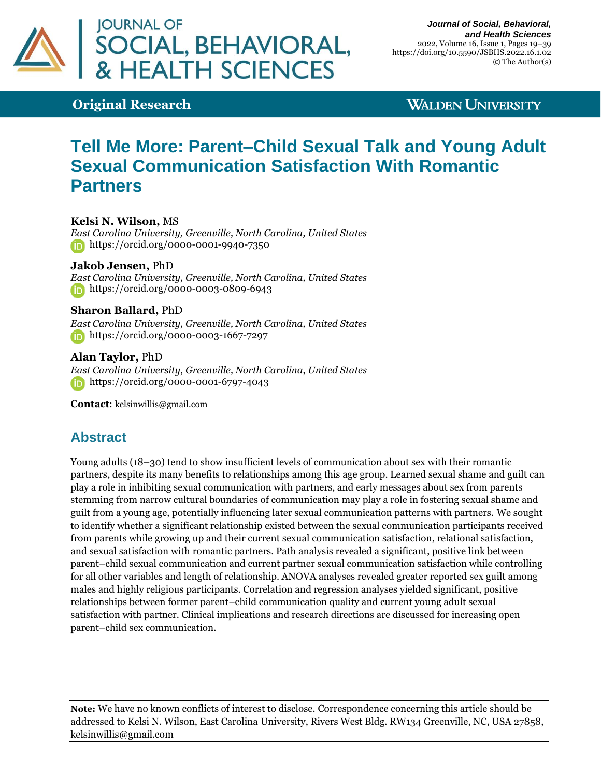

### **Original Research**

### **WALDEN UNIVERSITY**

# **Tell Me More: Parent–Child Sexual Talk and Young Adult Sexual Communication Satisfaction With Romantic Partners**

**Kelsi N. Wilson,** MS *East Carolina University, Greenville, North Carolina, United States* **<https://orcid.org/0000-0001-9940-7350>** 

**Jakob Jensen,** PhD *East Carolina University, Greenville, North Carolina, United States* <https://orcid.org/0000-0003-0809-6943>

**Sharon Ballard,** PhD *East Carolina University, Greenville, North Carolina, United States* <https://orcid.org/0000-0003-1667-7297>

**Alan Taylor,** PhD *East Carolina University, Greenville, North Carolina, United States* https://orcid.org/0000-0001-6797-4043

**Contact**: [kelsinwillis@gmail.com](mailto:kelsinwillis@gmail.com)

# **Abstract**

Young adults (18–30) tend to show insufficient levels of communication about sex with their romantic partners, despite its many benefits to relationships among this age group. Learned sexual shame and guilt can play a role in inhibiting sexual communication with partners, and early messages about sex from parents stemming from narrow cultural boundaries of communication may play a role in fostering sexual shame and guilt from a young age, potentially influencing later sexual communication patterns with partners. We sought to identify whether a significant relationship existed between the sexual communication participants received from parents while growing up and their current sexual communication satisfaction, relational satisfaction, and sexual satisfaction with romantic partners. Path analysis revealed a significant, positive link between parent–child sexual communication and current partner sexual communication satisfaction while controlling for all other variables and length of relationship. ANOVA analyses revealed greater reported sex guilt among males and highly religious participants. Correlation and regression analyses yielded significant, positive relationships between former parent–child communication quality and current young adult sexual satisfaction with partner. Clinical implications and research directions are discussed for increasing open parent–child sex communication.

**Note:** We have no known conflicts of interest to disclose. Correspondence concerning this article should be addressed to Kelsi N. Wilson, East Carolina University, Rivers West Bldg. RW134 Greenville, NC, USA 27858, kelsinwillis@gmail.com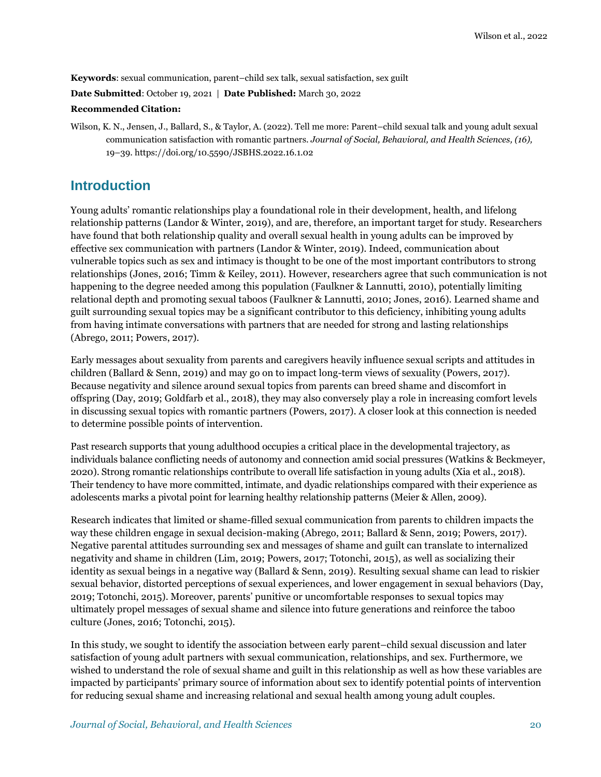**Keywords**: sexual communication, parent–child sex talk, sexual satisfaction, sex guilt

**Date Submitted**: October 19, 2021 | **Date Published:** March 30, 2022

#### **Recommended Citation:**

Wilson, K. N., Jensen, J., Ballard, S., & Taylor, A. (2022). Tell me more: Parent–child sexual talk and young adult sexual communication satisfaction with romantic partners. *Journal of Social, Behavioral, and Health Sciences, (16),*  19–39[. https://doi.org/10.5590/JSBHS.2022.16.1.02](https://doi.org/10.5590/JSBHS.2022.16.1.02)

### **Introduction**

Young adults' romantic relationships play a foundational role in their development, health, and lifelong relationship patterns (Landor & Winter, 2019), and are, therefore, an important target for study. Researchers have found that both relationship quality and overall sexual health in young adults can be improved by effective sex communication with partners (Landor & Winter, 2019). Indeed, communication about vulnerable topics such as sex and intimacy is thought to be one of the most important contributors to strong relationships (Jones, 2016; Timm & Keiley, 2011). However, researchers agree that such communication is not happening to the degree needed among this population (Faulkner & Lannutti, 2010), potentially limiting relational depth and promoting sexual taboos (Faulkner & Lannutti, 2010; Jones, 2016). Learned shame and guilt surrounding sexual topics may be a significant contributor to this deficiency, inhibiting young adults from having intimate conversations with partners that are needed for strong and lasting relationships (Abrego, 2011; Powers, 2017).

Early messages about sexuality from parents and caregivers heavily influence sexual scripts and attitudes in children (Ballard & Senn, 2019) and may go on to impact long-term views of sexuality (Powers, 2017). Because negativity and silence around sexual topics from parents can breed shame and discomfort in offspring (Day, 2019; Goldfarb et al., 2018), they may also conversely play a role in increasing comfort levels in discussing sexual topics with romantic partners (Powers, 2017). A closer look at this connection is needed to determine possible points of intervention.

Past research supports that young adulthood occupies a critical place in the developmental trajectory, as individuals balance conflicting needs of autonomy and connection amid social pressures (Watkins & Beckmeyer, 2020). Strong romantic relationships contribute to overall life satisfaction in young adults (Xia et al., 2018). Their tendency to have more committed, intimate, and dyadic relationships compared with their experience as adolescents marks a pivotal point for learning healthy relationship patterns (Meier & Allen, 2009).

Research indicates that limited or shame-filled sexual communication from parents to children impacts the way these children engage in sexual decision-making (Abrego, 2011; Ballard & Senn, 2019; Powers, 2017). Negative parental attitudes surrounding sex and messages of shame and guilt can translate to internalized negativity and shame in children (Lim, 2019; Powers, 2017; Totonchi, 2015), as well as socializing their identity as sexual beings in a negative way (Ballard & Senn, 2019). Resulting sexual shame can lead to riskier sexual behavior, distorted perceptions of sexual experiences, and lower engagement in sexual behaviors (Day, 2019; Totonchi, 2015). Moreover, parents' punitive or uncomfortable responses to sexual topics may ultimately propel messages of sexual shame and silence into future generations and reinforce the taboo culture (Jones, 2016; Totonchi, 2015).

In this study, we sought to identify the association between early parent–child sexual discussion and later satisfaction of young adult partners with sexual communication, relationships, and sex. Furthermore, we wished to understand the role of sexual shame and guilt in this relationship as well as how these variables are impacted by participants' primary source of information about sex to identify potential points of intervention for reducing sexual shame and increasing relational and sexual health among young adult couples.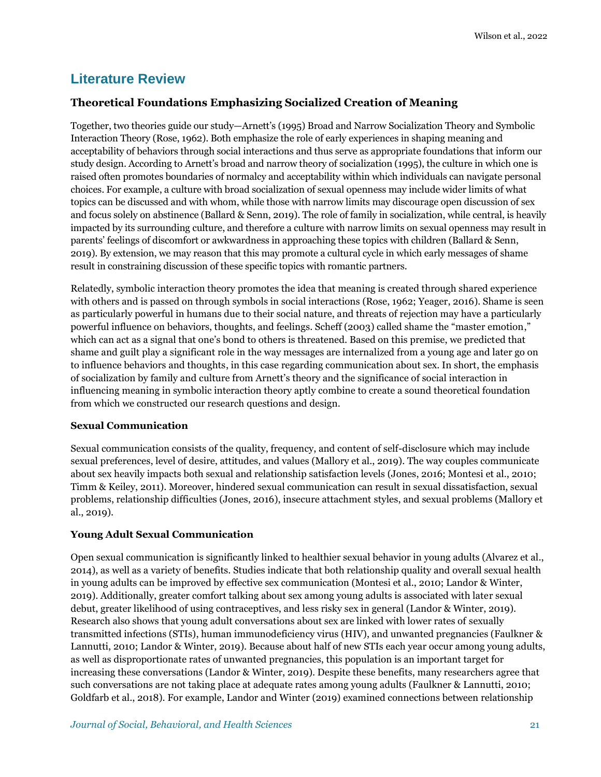# **Literature Review**

### **Theoretical Foundations Emphasizing Socialized Creation of Meaning**

Together, two theories guide our study—Arnett's (1995) Broad and Narrow Socialization Theory and Symbolic Interaction Theory (Rose, 1962). Both emphasize the role of early experiences in shaping meaning and acceptability of behaviors through social interactions and thus serve as appropriate foundations that inform our study design. According to Arnett's broad and narrow theory of socialization (1995), the culture in which one is raised often promotes boundaries of normalcy and acceptability within which individuals can navigate personal choices. For example, a culture with broad socialization of sexual openness may include wider limits of what topics can be discussed and with whom, while those with narrow limits may discourage open discussion of sex and focus solely on abstinence (Ballard & Senn, 2019). The role of family in socialization, while central, is heavily impacted by its surrounding culture, and therefore a culture with narrow limits on sexual openness may result in parents' feelings of discomfort or awkwardness in approaching these topics with children (Ballard & Senn, 2019). By extension, we may reason that this may promote a cultural cycle in which early messages of shame result in constraining discussion of these specific topics with romantic partners.

Relatedly, symbolic interaction theory promotes the idea that meaning is created through shared experience with others and is passed on through symbols in social interactions (Rose, 1962; Yeager, 2016). Shame is seen as particularly powerful in humans due to their social nature, and threats of rejection may have a particularly powerful influence on behaviors, thoughts, and feelings. Scheff (2003) called shame the "master emotion," which can act as a signal that one's bond to others is threatened. Based on this premise, we predicted that shame and guilt play a significant role in the way messages are internalized from a young age and later go on to influence behaviors and thoughts, in this case regarding communication about sex. In short, the emphasis of socialization by family and culture from Arnett's theory and the significance of social interaction in influencing meaning in symbolic interaction theory aptly combine to create a sound theoretical foundation from which we constructed our research questions and design.

#### **Sexual Communication**

Sexual communication consists of the quality, frequency, and content of self-disclosure which may include sexual preferences, level of desire, attitudes, and values (Mallory et al., 2019). The way couples communicate about sex heavily impacts both sexual and relationship satisfaction levels (Jones, 2016; Montesi et al., 2010; Timm & Keiley, 2011). Moreover, hindered sexual communication can result in sexual dissatisfaction, sexual problems, relationship difficulties (Jones, 2016), insecure attachment styles, and sexual problems (Mallory et al., 2019).

#### **Young Adult Sexual Communication**

Open sexual communication is significantly linked to healthier sexual behavior in young adults (Alvarez et al., 2014), as well as a variety of benefits. Studies indicate that both relationship quality and overall sexual health in young adults can be improved by effective sex communication (Montesi et al., 2010; Landor & Winter, 2019). Additionally, greater comfort talking about sex among young adults is associated with later sexual debut, greater likelihood of using contraceptives, and less risky sex in general (Landor & Winter, 2019). Research also shows that young adult conversations about sex are linked with lower rates of sexually transmitted infections (STIs), human immunodeficiency virus (HIV), and unwanted pregnancies (Faulkner & Lannutti, 2010; Landor & Winter, 2019). Because about half of new STIs each year occur among young adults, as well as disproportionate rates of unwanted pregnancies, this population is an important target for increasing these conversations (Landor & Winter, 2019). Despite these benefits, many researchers agree that such conversations are not taking place at adequate rates among young adults (Faulkner & Lannutti, 2010; Goldfarb et al., 2018). For example, Landor and Winter (2019) examined connections between relationship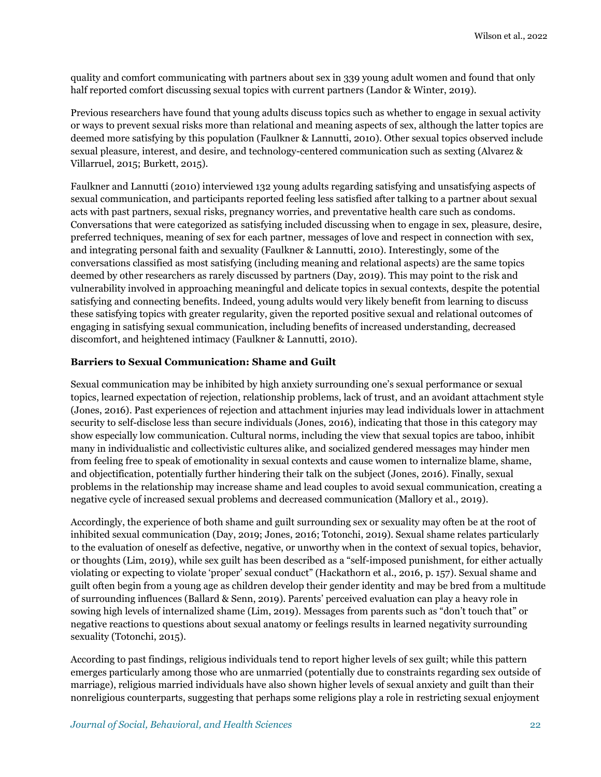quality and comfort communicating with partners about sex in 339 young adult women and found that only half reported comfort discussing sexual topics with current partners (Landor & Winter, 2019).

Previous researchers have found that young adults discuss topics such as whether to engage in sexual activity or ways to prevent sexual risks more than relational and meaning aspects of sex, although the latter topics are deemed more satisfying by this population (Faulkner & Lannutti, 2010). Other sexual topics observed include sexual pleasure, interest, and desire, and technology-centered communication such as sexting (Alvarez & Villarruel, 2015; Burkett, 2015).

Faulkner and Lannutti (2010) interviewed 132 young adults regarding satisfying and unsatisfying aspects of sexual communication, and participants reported feeling less satisfied after talking to a partner about sexual acts with past partners, sexual risks, pregnancy worries, and preventative health care such as condoms. Conversations that were categorized as satisfying included discussing when to engage in sex, pleasure, desire, preferred techniques, meaning of sex for each partner, messages of love and respect in connection with sex, and integrating personal faith and sexuality (Faulkner & Lannutti, 2010). Interestingly, some of the conversations classified as most satisfying (including meaning and relational aspects) are the same topics deemed by other researchers as rarely discussed by partners (Day, 2019). This may point to the risk and vulnerability involved in approaching meaningful and delicate topics in sexual contexts, despite the potential satisfying and connecting benefits. Indeed, young adults would very likely benefit from learning to discuss these satisfying topics with greater regularity, given the reported positive sexual and relational outcomes of engaging in satisfying sexual communication, including benefits of increased understanding, decreased discomfort, and heightened intimacy (Faulkner & Lannutti, 2010).

#### **Barriers to Sexual Communication: Shame and Guilt**

Sexual communication may be inhibited by high anxiety surrounding one's sexual performance or sexual topics, learned expectation of rejection, relationship problems, lack of trust, and an avoidant attachment style (Jones, 2016). Past experiences of rejection and attachment injuries may lead individuals lower in attachment security to self-disclose less than secure individuals (Jones, 2016), indicating that those in this category may show especially low communication. Cultural norms, including the view that sexual topics are taboo, inhibit many in individualistic and collectivistic cultures alike, and socialized gendered messages may hinder men from feeling free to speak of emotionality in sexual contexts and cause women to internalize blame, shame, and objectification, potentially further hindering their talk on the subject (Jones, 2016). Finally, sexual problems in the relationship may increase shame and lead couples to avoid sexual communication, creating a negative cycle of increased sexual problems and decreased communication (Mallory et al., 2019).

Accordingly, the experience of both shame and guilt surrounding sex or sexuality may often be at the root of inhibited sexual communication (Day, 2019; Jones, 2016; Totonchi, 2019). Sexual shame relates particularly to the evaluation of oneself as defective, negative, or unworthy when in the context of sexual topics, behavior, or thoughts (Lim, 2019), while sex guilt has been described as a "self-imposed punishment, for either actually violating or expecting to violate 'proper' sexual conduct" (Hackathorn et al., 2016, p. 157). Sexual shame and guilt often begin from a young age as children develop their gender identity and may be bred from a multitude of surrounding influences (Ballard & Senn, 2019). Parents' perceived evaluation can play a heavy role in sowing high levels of internalized shame (Lim, 2019). Messages from parents such as "don't touch that" or negative reactions to questions about sexual anatomy or feelings results in learned negativity surrounding sexuality (Totonchi, 2015).

According to past findings, religious individuals tend to report higher levels of sex guilt; while this pattern emerges particularly among those who are unmarried (potentially due to constraints regarding sex outside of marriage), religious married individuals have also shown higher levels of sexual anxiety and guilt than their nonreligious counterparts, suggesting that perhaps some religions play a role in restricting sexual enjoyment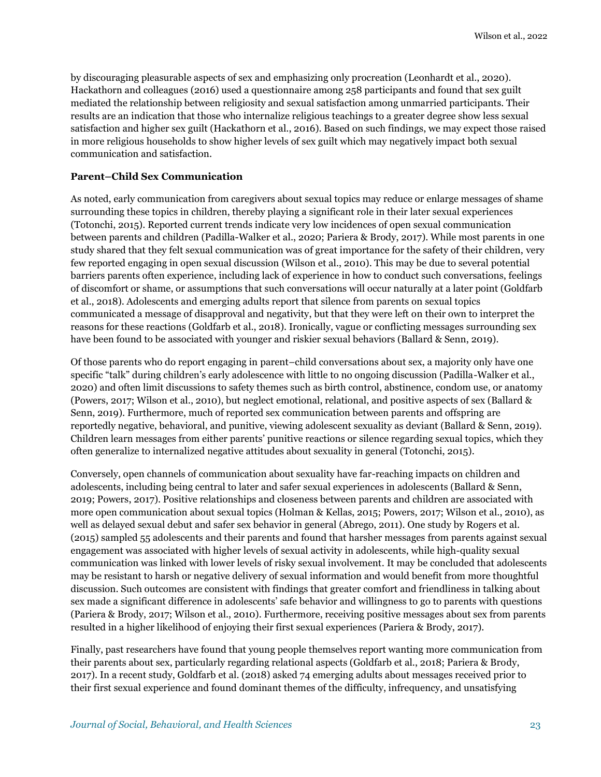by discouraging pleasurable aspects of sex and emphasizing only procreation (Leonhardt et al., 2020). Hackathorn and colleagues (2016) used a questionnaire among 258 participants and found that sex guilt mediated the relationship between religiosity and sexual satisfaction among unmarried participants. Their results are an indication that those who internalize religious teachings to a greater degree show less sexual satisfaction and higher sex guilt (Hackathorn et al., 2016). Based on such findings, we may expect those raised in more religious households to show higher levels of sex guilt which may negatively impact both sexual communication and satisfaction.

#### **Parent–Child Sex Communication**

As noted, early communication from caregivers about sexual topics may reduce or enlarge messages of shame surrounding these topics in children, thereby playing a significant role in their later sexual experiences (Totonchi, 2015). Reported current trends indicate very low incidences of open sexual communication between parents and children (Padilla-Walker et al., 2020; Pariera & Brody, 2017). While most parents in one study shared that they felt sexual communication was of great importance for the safety of their children, very few reported engaging in open sexual discussion (Wilson et al., 2010). This may be due to several potential barriers parents often experience, including lack of experience in how to conduct such conversations, feelings of discomfort or shame, or assumptions that such conversations will occur naturally at a later point (Goldfarb et al., 2018). Adolescents and emerging adults report that silence from parents on sexual topics communicated a message of disapproval and negativity, but that they were left on their own to interpret the reasons for these reactions (Goldfarb et al., 2018). Ironically, vague or conflicting messages surrounding sex have been found to be associated with younger and riskier sexual behaviors (Ballard & Senn, 2019).

Of those parents who do report engaging in parent–child conversations about sex, a majority only have one specific "talk" during children's early adolescence with little to no ongoing discussion (Padilla-Walker et al., 2020) and often limit discussions to safety themes such as birth control, abstinence, condom use, or anatomy (Powers, 2017; Wilson et al., 2010), but neglect emotional, relational, and positive aspects of sex (Ballard & Senn, 2019). Furthermore, much of reported sex communication between parents and offspring are reportedly negative, behavioral, and punitive, viewing adolescent sexuality as deviant (Ballard & Senn, 2019). Children learn messages from either parents' punitive reactions or silence regarding sexual topics, which they often generalize to internalized negative attitudes about sexuality in general (Totonchi, 2015).

Conversely, open channels of communication about sexuality have far-reaching impacts on children and adolescents, including being central to later and safer sexual experiences in adolescents (Ballard & Senn, 2019; Powers, 2017). Positive relationships and closeness between parents and children are associated with more open communication about sexual topics (Holman & Kellas, 2015; Powers, 2017; Wilson et al., 2010), as well as delayed sexual debut and safer sex behavior in general (Abrego, 2011). One study by Rogers et al. (2015) sampled 55 adolescents and their parents and found that harsher messages from parents against sexual engagement was associated with higher levels of sexual activity in adolescents, while high-quality sexual communication was linked with lower levels of risky sexual involvement. It may be concluded that adolescents may be resistant to harsh or negative delivery of sexual information and would benefit from more thoughtful discussion. Such outcomes are consistent with findings that greater comfort and friendliness in talking about sex made a significant difference in adolescents' safe behavior and willingness to go to parents with questions (Pariera & Brody, 2017; Wilson et al., 2010). Furthermore, receiving positive messages about sex from parents resulted in a higher likelihood of enjoying their first sexual experiences (Pariera & Brody, 2017).

Finally, past researchers have found that young people themselves report wanting more communication from their parents about sex, particularly regarding relational aspects (Goldfarb et al., 2018; Pariera & Brody, 2017). In a recent study, Goldfarb et al. (2018) asked 74 emerging adults about messages received prior to their first sexual experience and found dominant themes of the difficulty, infrequency, and unsatisfying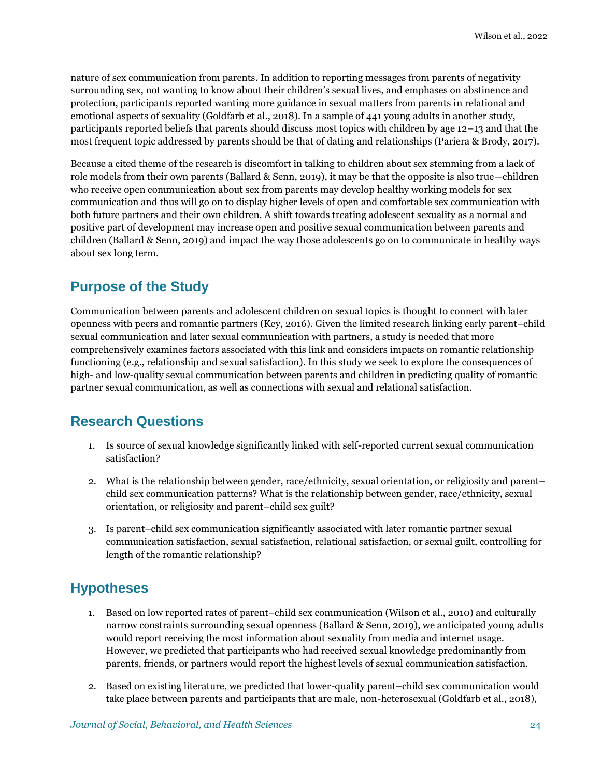nature of sex communication from parents. In addition to reporting messages from parents of negativity surrounding sex, not wanting to know about their children's sexual lives, and emphases on abstinence and protection, participants reported wanting more guidance in sexual matters from parents in relational and emotional aspects of sexuality (Goldfarb et al., 2018). In a sample of 441 young adults in another study, participants reported beliefs that parents should discuss most topics with children by age 12–13 and that the most frequent topic addressed by parents should be that of dating and relationships (Pariera & Brody, 2017).

Because a cited theme of the research is discomfort in talking to children about sex stemming from a lack of role models from their own parents (Ballard & Senn, 2019), it may be that the opposite is also true—children who receive open communication about sex from parents may develop healthy working models for sex communication and thus will go on to display higher levels of open and comfortable sex communication with both future partners and their own children. A shift towards treating adolescent sexuality as a normal and positive part of development may increase open and positive sexual communication between parents and children (Ballard & Senn, 2019) and impact the way those adolescents go on to communicate in healthy ways about sex long term.

# **Purpose of the Study**

Communication between parents and adolescent children on sexual topics is thought to connect with later openness with peers and romantic partners (Key, 2016). Given the limited research linking early parent–child sexual communication and later sexual communication with partners, a study is needed that more comprehensively examines factors associated with this link and considers impacts on romantic relationship functioning (e.g., relationship and sexual satisfaction). In this study we seek to explore the consequences of high- and low-quality sexual communication between parents and children in predicting quality of romantic partner sexual communication, as well as connections with sexual and relational satisfaction.

# **Research Questions**

- 1. Is source of sexual knowledge significantly linked with self-reported current sexual communication satisfaction?
- 2. What is the relationship between gender, race/ethnicity, sexual orientation, or religiosity and parent– child sex communication patterns? What is the relationship between gender, race/ethnicity, sexual orientation, or religiosity and parent–child sex guilt?
- 3. Is parent–child sex communication significantly associated with later romantic partner sexual communication satisfaction, sexual satisfaction, relational satisfaction, or sexual guilt, controlling for length of the romantic relationship?

# **Hypotheses**

- 1. Based on low reported rates of parent–child sex communication (Wilson et al., 2010) and culturally narrow constraints surrounding sexual openness (Ballard & Senn, 2019), we anticipated young adults would report receiving the most information about sexuality from media and internet usage. However, we predicted that participants who had received sexual knowledge predominantly from parents, friends, or partners would report the highest levels of sexual communication satisfaction.
- 2. Based on existing literature, we predicted that lower-quality parent–child sex communication would take place between parents and participants that are male, non-heterosexual (Goldfarb et al., 2018),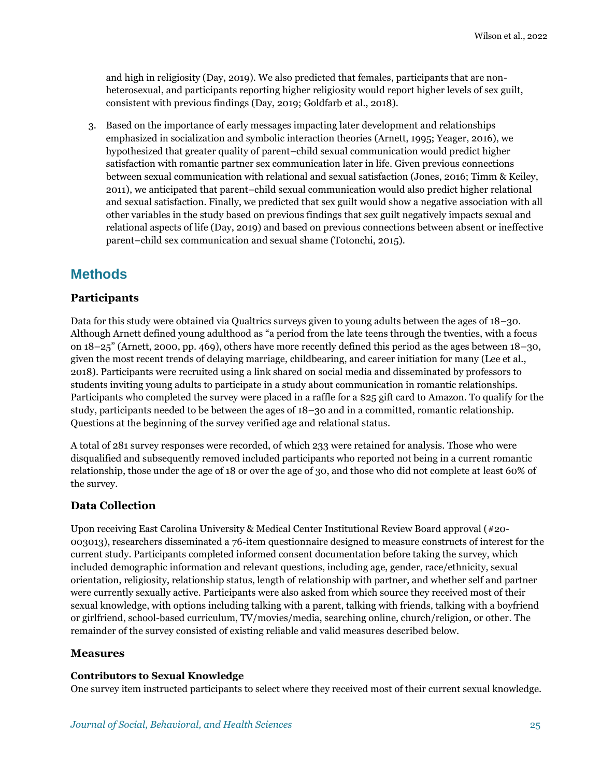and high in religiosity (Day, 2019). We also predicted that females, participants that are nonheterosexual, and participants reporting higher religiosity would report higher levels of sex guilt, consistent with previous findings (Day, 2019; Goldfarb et al., 2018).

3. Based on the importance of early messages impacting later development and relationships emphasized in socialization and symbolic interaction theories (Arnett, 1995; Yeager, 2016), we hypothesized that greater quality of parent–child sexual communication would predict higher satisfaction with romantic partner sex communication later in life. Given previous connections between sexual communication with relational and sexual satisfaction (Jones, 2016; Timm & Keiley, 2011), we anticipated that parent–child sexual communication would also predict higher relational and sexual satisfaction. Finally, we predicted that sex guilt would show a negative association with all other variables in the study based on previous findings that sex guilt negatively impacts sexual and relational aspects of life (Day, 2019) and based on previous connections between absent or ineffective parent–child sex communication and sexual shame (Totonchi, 2015).

# **Methods**

### **Participants**

Data for this study were obtained via Qualtrics surveys given to young adults between the ages of 18–30. Although Arnett defined young adulthood as "a period from the late teens through the twenties, with a focus on 18–25" (Arnett, 2000, pp. 469), others have more recently defined this period as the ages between 18–30, given the most recent trends of delaying marriage, childbearing, and career initiation for many (Lee et al., 2018). Participants were recruited using a link shared on social media and disseminated by professors to students inviting young adults to participate in a study about communication in romantic relationships. Participants who completed the survey were placed in a raffle for a \$25 gift card to Amazon. To qualify for the study, participants needed to be between the ages of 18–30 and in a committed, romantic relationship. Questions at the beginning of the survey verified age and relational status.

A total of 281 survey responses were recorded, of which 233 were retained for analysis. Those who were disqualified and subsequently removed included participants who reported not being in a current romantic relationship, those under the age of 18 or over the age of 30, and those who did not complete at least 60% of the survey.

### **Data Collection**

Upon receiving East Carolina University & Medical Center Institutional Review Board approval (#20- 003013), researchers disseminated a 76-item questionnaire designed to measure constructs of interest for the current study. Participants completed informed consent documentation before taking the survey, which included demographic information and relevant questions, including age, gender, race/ethnicity, sexual orientation, religiosity, relationship status, length of relationship with partner, and whether self and partner were currently sexually active. Participants were also asked from which source they received most of their sexual knowledge, with options including talking with a parent, talking with friends, talking with a boyfriend or girlfriend, school-based curriculum, TV/movies/media, searching online, church/religion, or other. The remainder of the survey consisted of existing reliable and valid measures described below.

### **Measures**

#### **Contributors to Sexual Knowledge**

One survey item instructed participants to select where they received most of their current sexual knowledge.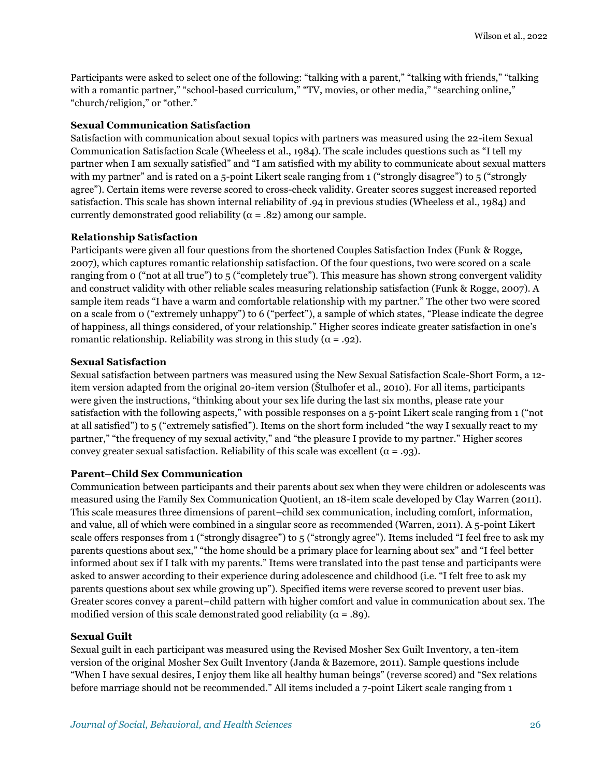Participants were asked to select one of the following: "talking with a parent," "talking with friends," "talking with a romantic partner," "school-based curriculum," "TV, movies, or other media," "searching online," "church/religion," or "other."

#### **Sexual Communication Satisfaction**

Satisfaction with communication about sexual topics with partners was measured using the 22-item Sexual Communication Satisfaction Scale (Wheeless et al., 1984). The scale includes questions such as "I tell my partner when I am sexually satisfied" and "I am satisfied with my ability to communicate about sexual matters with my partner" and is rated on a 5-point Likert scale ranging from 1 ("strongly disagree") to 5 ("strongly agree"). Certain items were reverse scored to cross-check validity. Greater scores suggest increased reported satisfaction. This scale has shown internal reliability of .94 in previous studies (Wheeless et al., 1984) and currently demonstrated good reliability ( $\alpha$  = .82) among our sample.

#### **Relationship Satisfaction**

Participants were given all four questions from the shortened Couples Satisfaction Index (Funk & Rogge, 2007), which captures romantic relationship satisfaction. Of the four questions, two were scored on a scale ranging from 0 ("not at all true") to 5 ("completely true"). This measure has shown strong convergent validity and construct validity with other reliable scales measuring relationship satisfaction (Funk & Rogge, 2007). A sample item reads "I have a warm and comfortable relationship with my partner." The other two were scored on a scale from 0 ("extremely unhappy") to 6 ("perfect"), a sample of which states, "Please indicate the degree of happiness, all things considered, of your relationship." Higher scores indicate greater satisfaction in one's romantic relationship. Reliability was strong in this study ( $\alpha = .92$ ).

#### **Sexual Satisfaction**

Sexual satisfaction between partners was measured using the New Sexual Satisfaction Scale-Short Form, a 12 item version adapted from the original 20-item version (Štulhofer et al., 2010). For all items, participants were given the instructions, "thinking about your sex life during the last six months, please rate your satisfaction with the following aspects," with possible responses on a 5-point Likert scale ranging from 1 ("not at all satisfied") to 5 ("extremely satisfied"). Items on the short form included "the way I sexually react to my partner," "the frequency of my sexual activity," and "the pleasure I provide to my partner." Higher scores convey greater sexual satisfaction. Reliability of this scale was excellent ( $\alpha = .93$ ).

#### **Parent–Child Sex Communication**

Communication between participants and their parents about sex when they were children or adolescents was measured using the Family Sex Communication Quotient, an 18-item scale developed by Clay Warren (2011). This scale measures three dimensions of parent–child sex communication, including comfort, information, and value, all of which were combined in a singular score as recommended (Warren, 2011). A 5-point Likert scale offers responses from 1 ("strongly disagree") to 5 ("strongly agree"). Items included "I feel free to ask my parents questions about sex," "the home should be a primary place for learning about sex" and "I feel better informed about sex if I talk with my parents." Items were translated into the past tense and participants were asked to answer according to their experience during adolescence and childhood (i.e. "I felt free to ask my parents questions about sex while growing up"). Specified items were reverse scored to prevent user bias. Greater scores convey a parent–child pattern with higher comfort and value in communication about sex. The modified version of this scale demonstrated good reliability ( $\alpha = .89$ ).

#### **Sexual Guilt**

Sexual guilt in each participant was measured using the Revised Mosher Sex Guilt Inventory, a ten-item version of the original Mosher Sex Guilt Inventory (Janda & Bazemore, 2011). Sample questions include "When I have sexual desires, I enjoy them like all healthy human beings" (reverse scored) and "Sex relations before marriage should not be recommended." All items included a 7-point Likert scale ranging from 1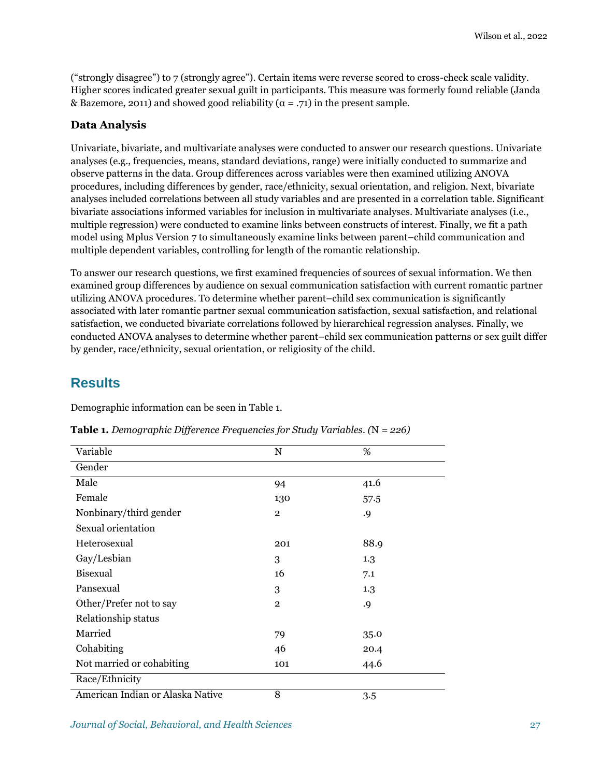("strongly disagree") to 7 (strongly agree"). Certain items were reverse scored to cross-check scale validity. Higher scores indicated greater sexual guilt in participants. This measure was formerly found reliable (Janda & Bazemore, 2011) and showed good reliability ( $\alpha = .71$ ) in the present sample.

### **Data Analysis**

Univariate, bivariate, and multivariate analyses were conducted to answer our research questions. Univariate analyses (e.g., frequencies, means, standard deviations, range) were initially conducted to summarize and observe patterns in the data. Group differences across variables were then examined utilizing ANOVA procedures, including differences by gender, race/ethnicity, sexual orientation, and religion. Next, bivariate analyses included correlations between all study variables and are presented in a correlation table. Significant bivariate associations informed variables for inclusion in multivariate analyses. Multivariate analyses (i.e., multiple regression) were conducted to examine links between constructs of interest. Finally, we fit a path model using Mplus Version 7 to simultaneously examine links between parent–child communication and multiple dependent variables, controlling for length of the romantic relationship.

To answer our research questions, we first examined frequencies of sources of sexual information. We then examined group differences by audience on sexual communication satisfaction with current romantic partner utilizing ANOVA procedures. To determine whether parent–child sex communication is significantly associated with later romantic partner sexual communication satisfaction, sexual satisfaction, and relational satisfaction, we conducted bivariate correlations followed by hierarchical regression analyses. Finally, we conducted ANOVA analyses to determine whether parent–child sex communication patterns or sex guilt differ by gender, race/ethnicity, sexual orientation, or religiosity of the child.

# **Results**

Demographic information can be seen in Table 1.

| Variable                         | $\mathbf N$    | %    |
|----------------------------------|----------------|------|
| Gender                           |                |      |
| Male                             | 94             | 41.6 |
| Female                           | 130            | 57.5 |
| Nonbinary/third gender           | $\overline{2}$ | .9   |
| Sexual orientation               |                |      |
| Heterosexual                     | 201            | 88.9 |
| Gay/Lesbian                      | 3              | 1.3  |
| Bisexual                         | 16             | 7.1  |
| Pansexual                        | 3              | 1.3  |
| Other/Prefer not to say          | $\overline{2}$ | .9   |
| Relationship status              |                |      |
| Married                          | 79             | 35.0 |
| Cohabiting                       | 46             | 20.4 |
| Not married or cohabiting        | 101            | 44.6 |
| Race/Ethnicity                   |                |      |
| American Indian or Alaska Native | 8              | 3.5  |

**Table 1.** *Demographic Difference Frequencies for Study Variables. (*N *= 226)*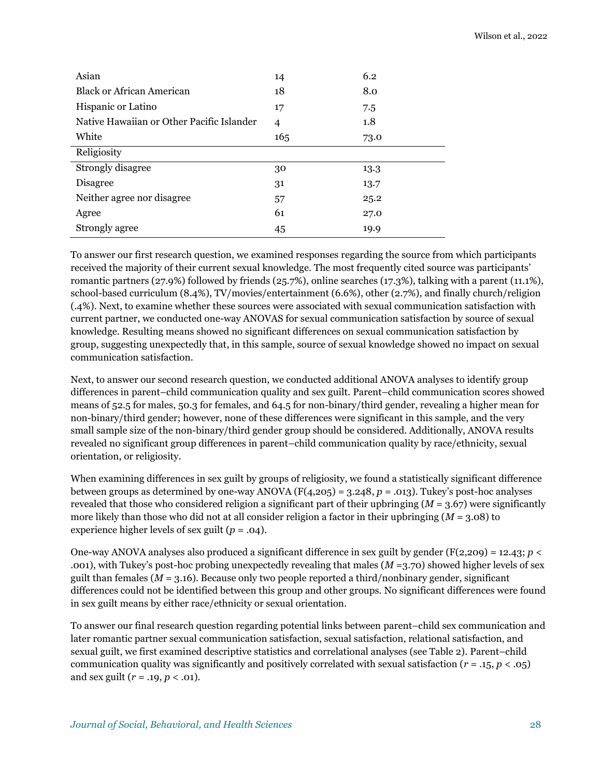| Asian                                     | 14              | 6.2  |
|-------------------------------------------|-----------------|------|
| Black or African American                 | 18              | 8.0  |
| Hispanic or Latino                        | 17              | 7.5  |
| Native Hawaiian or Other Pacific Islander | $\overline{4}$  | 1.8  |
| White                                     | 16 <sub>5</sub> | 73.0 |
| Religiosity                               |                 |      |
| Strongly disagree                         | 30              | 13.3 |
| Disagree                                  | 31              | 13.7 |
| Neither agree nor disagree                | 57              | 25.2 |
| Agree                                     | 61              | 27.0 |
| Strongly agree                            | 45              | 19.9 |

To answer our first research question, we examined responses regarding the source from which participants received the majority of their current sexual knowledge. The most frequently cited source was participants' romantic partners (27.9%) followed by friends (25.7%), online searches (17.3%), talking with a parent (11.1%), school-based curriculum (8.4%), TV/movies/entertainment (6.6%), other (2.7%), and finally church/religion (.4%). Next, to examine whether these sources were associated with sexual communication satisfaction with current partner, we conducted one-way ANOVAS for sexual communication satisfaction by source of sexual knowledge. Resulting means showed no significant differences on sexual communication satisfaction by group, suggesting unexpectedly that, in this sample, source of sexual knowledge showed no impact on sexual communication satisfaction.

Next, to answer our second research question, we conducted additional ANOVA analyses to identify group differences in parent–child communication quality and sex guilt. Parent–child communication scores showed means of 52.5 for males, 50.3 for females, and 64.5 for non-binary/third gender, revealing a higher mean for non-binary/third gender; however, none of these differences were significant in this sample, and the very small sample size of the non-binary/third gender group should be considered. Additionally, ANOVA results revealed no significant group differences in parent–child communication quality by race/ethnicity, sexual orientation, or religiosity.

When examining differences in sex guilt by groups of religiosity, we found a statistically significant difference between groups as determined by one-way ANOVA (F(4,205) = 3.248, *p* = .013). Tukey's post-hoc analyses revealed that those who considered religion a significant part of their upbringing (*M* = 3.67) were significantly more likely than those who did not at all consider religion a factor in their upbringing (*M* = 3.08) to experience higher levels of sex guilt (*p* = .04).

One-way ANOVA analyses also produced a significant difference in sex guilt by gender ( $F(2,209) = 12.43$ ;  $p <$ .001), with Tukey's post-hoc probing unexpectedly revealing that males (*M* =3.70) showed higher levels of sex guilt than females ( $M = 3.16$ ). Because only two people reported a third/nonbinary gender, significant differences could not be identified between this group and other groups. No significant differences were found in sex guilt means by either race/ethnicity or sexual orientation.

To answer our final research question regarding potential links between parent–child sex communication and later romantic partner sexual communication satisfaction, sexual satisfaction, relational satisfaction, and sexual guilt, we first examined descriptive statistics and correlational analyses (see Table 2). Parent–child communication quality was significantly and positively correlated with sexual satisfaction (*r* = .15, *p* < .05) and sex guilt (*r* = .19, *p* < .01).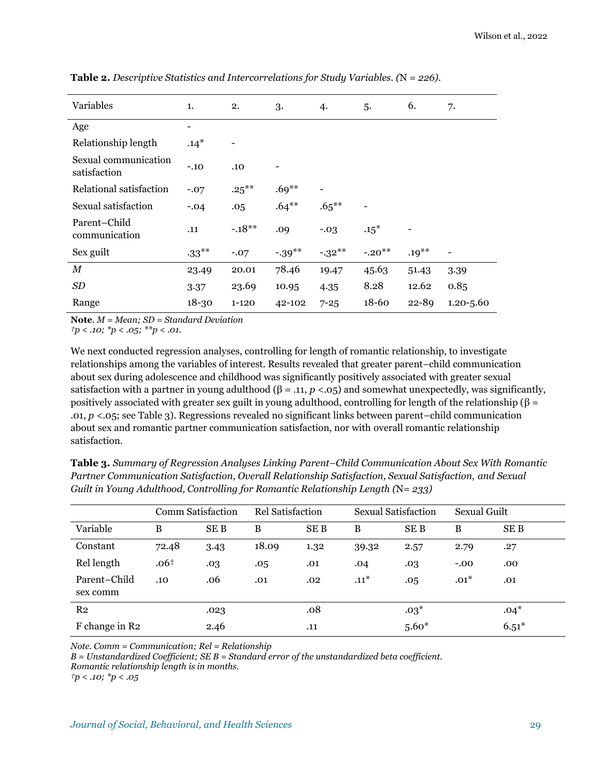| Variables                            | 1.        | 2.        | 3.        | 4.       | 5.       | 6.        | 7.            |
|--------------------------------------|-----------|-----------|-----------|----------|----------|-----------|---------------|
| Age                                  | -         |           |           |          |          |           |               |
| Relationship length                  | $.14*$    |           |           |          |          |           |               |
| Sexual communication<br>satisfaction | $-.10$    | .10       |           |          |          |           |               |
| Relational satisfaction              | $-.07$    | $.25***$  | $.69***$  |          |          |           |               |
| Sexual satisfaction                  | $-.04$    | .05       | $.64***$  | $.65***$ |          |           |               |
| Parent-Child<br>communication        | .11       | $-.18**$  | .09       | $-.03$   | $.15^*$  |           |               |
| Sex guilt                            | $-33***$  | $-.07$    | $-.39***$ | $-32**$  | $-.20**$ | $.19***$  |               |
| М                                    | 23.49     | 20.01     | 78.46     | 19.47    | 45.63    | 51.43     | 3.39          |
| <b>SD</b>                            | 3.37      | 23.69     | 10.95     | 4.35     | 8.28     | 12.62     | 0.85          |
| Range                                | $18 - 30$ | $1 - 120$ | 42-102    | $7 - 25$ | 18-60    | $22 - 89$ | $1.20 - 5.60$ |

**Table 2.** *Descriptive Statistics and Intercorrelations for Study Variables. (*N *= 226).*

**Note***. M = Mean; SD = Standard Deviation*

*†p < .10; \*p < .05; \*\*p < .01.*

We next conducted regression analyses, controlling for length of romantic relationship, to investigate relationships among the variables of interest. Results revealed that greater parent–child communication about sex during adolescence and childhood was significantly positively associated with greater sexual satisfaction with a partner in young adulthood  $(\beta = .11, p < .05)$  and somewhat unexpectedly, was significantly, positively associated with greater sex guilt in young adulthood, controlling for length of the relationship ( $\beta$  = .01, *p* <.05; see Table 3). Regressions revealed no significant links between parent–child communication about sex and romantic partner communication satisfaction, nor with overall romantic relationship satisfaction.

**Table 3.** *Summary of Regression Analyses Linking Parent–Child Communication About Sex With Romantic Partner Communication Satisfaction, Overall Relationship Satisfaction, Sexual Satisfaction, and Sexual Guilt in Young Adulthood, Controlling for Romantic Relationship Length (*N*= 233)* 

|                          | Comm Satisfaction |      | Rel Satisfaction |      | Sexual Satisfaction |         | Sexual Guilt |         |
|--------------------------|-------------------|------|------------------|------|---------------------|---------|--------------|---------|
| Variable                 | B                 | SE B | B                | SE B | B                   | SE B    | B            | SE B    |
| Constant                 | 72.48             | 3.43 | 18.09            | 1.32 | 39.32               | 2.57    | 2.79         | .27     |
| Rel length               | .06 <sup>†</sup>  | .03  | .05              | .01  | .04                 | .03     | $-.00$       | .00     |
| Parent-Child<br>sex comm | .10               | .06  | .01              | .02  | $.11*$              | .05     | $.01*$       | .01     |
| R <sub>2</sub>           |                   | .023 |                  | .08  |                     | $.03*$  |              | $.04*$  |
| F change in R2           |                   | 2.46 |                  | .11  |                     | $5.60*$ |              | $6.51*$ |

*Note. Comm = Communication; Rel = Relationship*

*B = Unstandardized Coefficient; SE B = Standard error of the unstandardized beta coefficient.* 

*Romantic relationship length is in months.* 

*†p < .10; \*p < .05*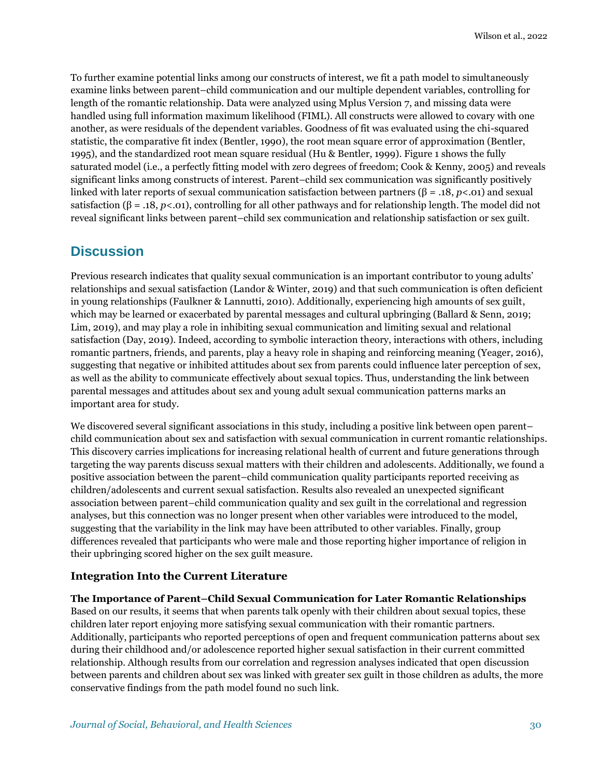To further examine potential links among our constructs of interest, we fit a path model to simultaneously examine links between parent–child communication and our multiple dependent variables, controlling for length of the romantic relationship. Data were analyzed using Mplus Version 7, and missing data were handled using full information maximum likelihood (FIML). All constructs were allowed to covary with one another, as were residuals of the dependent variables. Goodness of fit was evaluated using the chi-squared statistic, the comparative fit index (Bentler, 1990), the root mean square error of approximation (Bentler, 1995), and the standardized root mean square residual (Hu & Bentler, 1999). Figure 1 shows the fully saturated model (i.e., a perfectly fitting model with zero degrees of freedom; Cook & Kenny, 2005) and reveals significant links among constructs of interest. Parent–child sex communication was significantly positively linked with later reports of sexual communication satisfaction between partners (β = .18, *p*<.01) and sexual satisfaction ( $\beta = .18, p < .01$ ), controlling for all other pathways and for relationship length. The model did not reveal significant links between parent–child sex communication and relationship satisfaction or sex guilt.

### **Discussion**

Previous research indicates that quality sexual communication is an important contributor to young adults' relationships and sexual satisfaction (Landor & Winter, 2019) and that such communication is often deficient in young relationships (Faulkner & Lannutti, 2010). Additionally, experiencing high amounts of sex guilt, which may be learned or exacerbated by parental messages and cultural upbringing (Ballard & Senn, 2019; Lim, 2019), and may play a role in inhibiting sexual communication and limiting sexual and relational satisfaction (Day, 2019). Indeed, according to symbolic interaction theory, interactions with others, including romantic partners, friends, and parents, play a heavy role in shaping and reinforcing meaning (Yeager, 2016), suggesting that negative or inhibited attitudes about sex from parents could influence later perception of sex, as well as the ability to communicate effectively about sexual topics. Thus, understanding the link between parental messages and attitudes about sex and young adult sexual communication patterns marks an important area for study.

We discovered several significant associations in this study, including a positive link between open parent– child communication about sex and satisfaction with sexual communication in current romantic relationships. This discovery carries implications for increasing relational health of current and future generations through targeting the way parents discuss sexual matters with their children and adolescents. Additionally, we found a positive association between the parent–child communication quality participants reported receiving as children/adolescents and current sexual satisfaction. Results also revealed an unexpected significant association between parent–child communication quality and sex guilt in the correlational and regression analyses, but this connection was no longer present when other variables were introduced to the model, suggesting that the variability in the link may have been attributed to other variables. Finally, group differences revealed that participants who were male and those reporting higher importance of religion in their upbringing scored higher on the sex guilt measure.

### **Integration Into the Current Literature**

**The Importance of Parent–Child Sexual Communication for Later Romantic Relationships** Based on our results, it seems that when parents talk openly with their children about sexual topics, these children later report enjoying more satisfying sexual communication with their romantic partners. Additionally, participants who reported perceptions of open and frequent communication patterns about sex during their childhood and/or adolescence reported higher sexual satisfaction in their current committed relationship. Although results from our correlation and regression analyses indicated that open discussion between parents and children about sex was linked with greater sex guilt in those children as adults, the more conservative findings from the path model found no such link.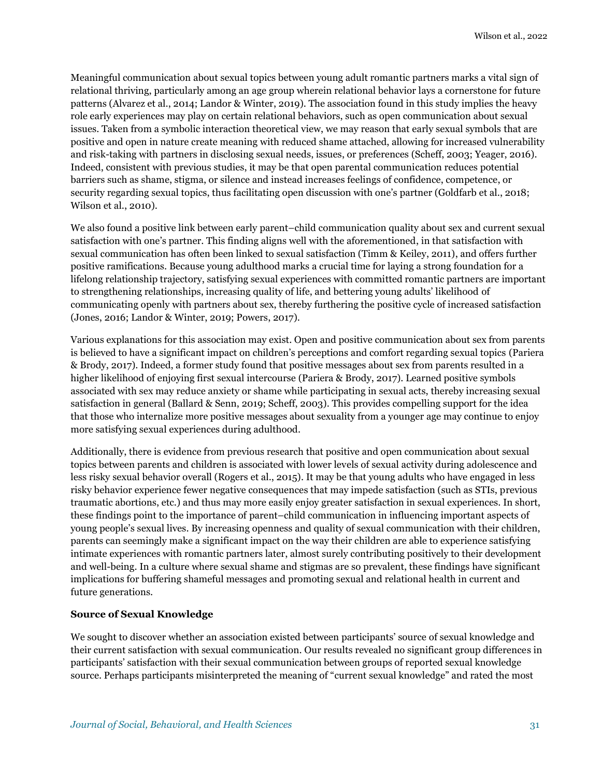Meaningful communication about sexual topics between young adult romantic partners marks a vital sign of relational thriving, particularly among an age group wherein relational behavior lays a cornerstone for future patterns (Alvarez et al., 2014; Landor & Winter, 2019). The association found in this study implies the heavy role early experiences may play on certain relational behaviors, such as open communication about sexual issues. Taken from a symbolic interaction theoretical view, we may reason that early sexual symbols that are positive and open in nature create meaning with reduced shame attached, allowing for increased vulnerability and risk-taking with partners in disclosing sexual needs, issues, or preferences (Scheff, 2003; Yeager, 2016). Indeed, consistent with previous studies, it may be that open parental communication reduces potential barriers such as shame, stigma, or silence and instead increases feelings of confidence, competence, or security regarding sexual topics, thus facilitating open discussion with one's partner (Goldfarb et al., 2018; Wilson et al., 2010).

We also found a positive link between early parent–child communication quality about sex and current sexual satisfaction with one's partner. This finding aligns well with the aforementioned, in that satisfaction with sexual communication has often been linked to sexual satisfaction (Timm & Keiley, 2011), and offers further positive ramifications. Because young adulthood marks a crucial time for laying a strong foundation for a lifelong relationship trajectory, satisfying sexual experiences with committed romantic partners are important to strengthening relationships, increasing quality of life, and bettering young adults' likelihood of communicating openly with partners about sex, thereby furthering the positive cycle of increased satisfaction (Jones, 2016; Landor & Winter, 2019; Powers, 2017).

Various explanations for this association may exist. Open and positive communication about sex from parents is believed to have a significant impact on children's perceptions and comfort regarding sexual topics (Pariera & Brody, 2017). Indeed, a former study found that positive messages about sex from parents resulted in a higher likelihood of enjoying first sexual intercourse (Pariera & Brody, 2017). Learned positive symbols associated with sex may reduce anxiety or shame while participating in sexual acts, thereby increasing sexual satisfaction in general (Ballard & Senn, 2019; Scheff, 2003). This provides compelling support for the idea that those who internalize more positive messages about sexuality from a younger age may continue to enjoy more satisfying sexual experiences during adulthood.

Additionally, there is evidence from previous research that positive and open communication about sexual topics between parents and children is associated with lower levels of sexual activity during adolescence and less risky sexual behavior overall (Rogers et al., 2015). It may be that young adults who have engaged in less risky behavior experience fewer negative consequences that may impede satisfaction (such as STIs, previous traumatic abortions, etc.) and thus may more easily enjoy greater satisfaction in sexual experiences. In short, these findings point to the importance of parent–child communication in influencing important aspects of young people's sexual lives. By increasing openness and quality of sexual communication with their children, parents can seemingly make a significant impact on the way their children are able to experience satisfying intimate experiences with romantic partners later, almost surely contributing positively to their development and well-being. In a culture where sexual shame and stigmas are so prevalent, these findings have significant implications for buffering shameful messages and promoting sexual and relational health in current and future generations.

#### **Source of Sexual Knowledge**

We sought to discover whether an association existed between participants' source of sexual knowledge and their current satisfaction with sexual communication. Our results revealed no significant group differences in participants' satisfaction with their sexual communication between groups of reported sexual knowledge source. Perhaps participants misinterpreted the meaning of "current sexual knowledge" and rated the most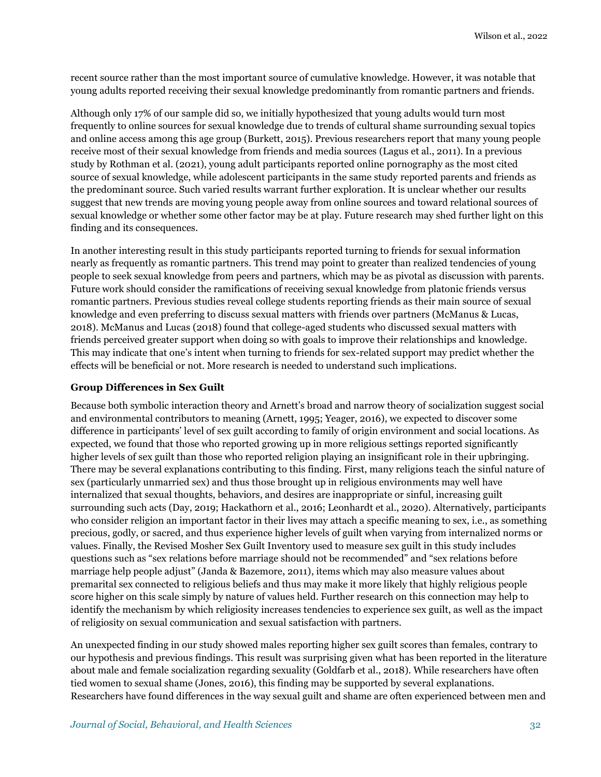recent source rather than the most important source of cumulative knowledge. However, it was notable that young adults reported receiving their sexual knowledge predominantly from romantic partners and friends.

Although only 17% of our sample did so, we initially hypothesized that young adults would turn most frequently to online sources for sexual knowledge due to trends of cultural shame surrounding sexual topics and online access among this age group (Burkett, 2015). Previous researchers report that many young people receive most of their sexual knowledge from friends and media sources (Lagus et al., 2011). In a previous study by Rothman et al. (2021), young adult participants reported online pornography as the most cited source of sexual knowledge, while adolescent participants in the same study reported parents and friends as the predominant source. Such varied results warrant further exploration. It is unclear whether our results suggest that new trends are moving young people away from online sources and toward relational sources of sexual knowledge or whether some other factor may be at play. Future research may shed further light on this finding and its consequences.

In another interesting result in this study participants reported turning to friends for sexual information nearly as frequently as romantic partners. This trend may point to greater than realized tendencies of young people to seek sexual knowledge from peers and partners, which may be as pivotal as discussion with parents. Future work should consider the ramifications of receiving sexual knowledge from platonic friends versus romantic partners. Previous studies reveal college students reporting friends as their main source of sexual knowledge and even preferring to discuss sexual matters with friends over partners (McManus & Lucas, 2018). McManus and Lucas (2018) found that college-aged students who discussed sexual matters with friends perceived greater support when doing so with goals to improve their relationships and knowledge. This may indicate that one's intent when turning to friends for sex-related support may predict whether the effects will be beneficial or not. More research is needed to understand such implications.

#### **Group Differences in Sex Guilt**

Because both symbolic interaction theory and Arnett's broad and narrow theory of socialization suggest social and environmental contributors to meaning (Arnett, 1995; Yeager, 2016), we expected to discover some difference in participants' level of sex guilt according to family of origin environment and social locations. As expected, we found that those who reported growing up in more religious settings reported significantly higher levels of sex guilt than those who reported religion playing an insignificant role in their upbringing. There may be several explanations contributing to this finding. First, many religions teach the sinful nature of sex (particularly unmarried sex) and thus those brought up in religious environments may well have internalized that sexual thoughts, behaviors, and desires are inappropriate or sinful, increasing guilt surrounding such acts (Day, 2019; Hackathorn et al., 2016; Leonhardt et al., 2020). Alternatively, participants who consider religion an important factor in their lives may attach a specific meaning to sex, i.e., as something precious, godly, or sacred, and thus experience higher levels of guilt when varying from internalized norms or values. Finally, the Revised Mosher Sex Guilt Inventory used to measure sex guilt in this study includes questions such as "sex relations before marriage should not be recommended" and "sex relations before marriage help people adjust" (Janda & Bazemore, 2011), items which may also measure values about premarital sex connected to religious beliefs and thus may make it more likely that highly religious people score higher on this scale simply by nature of values held. Further research on this connection may help to identify the mechanism by which religiosity increases tendencies to experience sex guilt, as well as the impact of religiosity on sexual communication and sexual satisfaction with partners.

An unexpected finding in our study showed males reporting higher sex guilt scores than females, contrary to our hypothesis and previous findings. This result was surprising given what has been reported in the literature about male and female socialization regarding sexuality (Goldfarb et al., 2018). While researchers have often tied women to sexual shame (Jones, 2016), this finding may be supported by several explanations. Researchers have found differences in the way sexual guilt and shame are often experienced between men and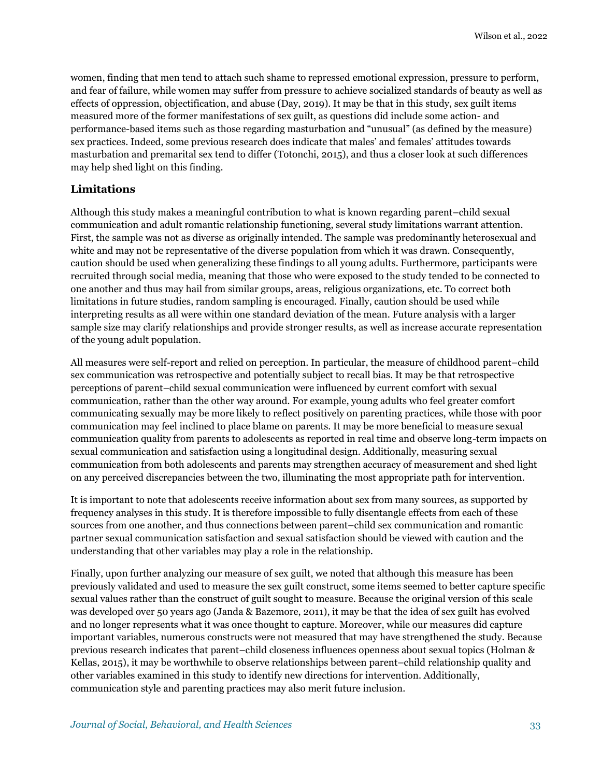women, finding that men tend to attach such shame to repressed emotional expression, pressure to perform, and fear of failure, while women may suffer from pressure to achieve socialized standards of beauty as well as effects of oppression, objectification, and abuse (Day, 2019). It may be that in this study, sex guilt items measured more of the former manifestations of sex guilt, as questions did include some action- and performance-based items such as those regarding masturbation and "unusual" (as defined by the measure) sex practices. Indeed, some previous research does indicate that males' and females' attitudes towards masturbation and premarital sex tend to differ (Totonchi, 2015), and thus a closer look at such differences may help shed light on this finding.

#### **Limitations**

Although this study makes a meaningful contribution to what is known regarding parent–child sexual communication and adult romantic relationship functioning, several study limitations warrant attention. First, the sample was not as diverse as originally intended. The sample was predominantly heterosexual and white and may not be representative of the diverse population from which it was drawn. Consequently, caution should be used when generalizing these findings to all young adults. Furthermore, participants were recruited through social media, meaning that those who were exposed to the study tended to be connected to one another and thus may hail from similar groups, areas, religious organizations, etc. To correct both limitations in future studies, random sampling is encouraged. Finally, caution should be used while interpreting results as all were within one standard deviation of the mean. Future analysis with a larger sample size may clarify relationships and provide stronger results, as well as increase accurate representation of the young adult population.

All measures were self-report and relied on perception. In particular, the measure of childhood parent–child sex communication was retrospective and potentially subject to recall bias. It may be that retrospective perceptions of parent–child sexual communication were influenced by current comfort with sexual communication, rather than the other way around. For example, young adults who feel greater comfort communicating sexually may be more likely to reflect positively on parenting practices, while those with poor communication may feel inclined to place blame on parents. It may be more beneficial to measure sexual communication quality from parents to adolescents as reported in real time and observe long-term impacts on sexual communication and satisfaction using a longitudinal design. Additionally, measuring sexual communication from both adolescents and parents may strengthen accuracy of measurement and shed light on any perceived discrepancies between the two, illuminating the most appropriate path for intervention.

It is important to note that adolescents receive information about sex from many sources, as supported by frequency analyses in this study. It is therefore impossible to fully disentangle effects from each of these sources from one another, and thus connections between parent–child sex communication and romantic partner sexual communication satisfaction and sexual satisfaction should be viewed with caution and the understanding that other variables may play a role in the relationship.

Finally, upon further analyzing our measure of sex guilt, we noted that although this measure has been previously validated and used to measure the sex guilt construct, some items seemed to better capture specific sexual values rather than the construct of guilt sought to measure. Because the original version of this scale was developed over 50 years ago (Janda & Bazemore, 2011), it may be that the idea of sex guilt has evolved and no longer represents what it was once thought to capture. Moreover, while our measures did capture important variables, numerous constructs were not measured that may have strengthened the study. Because previous research indicates that parent–child closeness influences openness about sexual topics (Holman & Kellas, 2015), it may be worthwhile to observe relationships between parent–child relationship quality and other variables examined in this study to identify new directions for intervention. Additionally, communication style and parenting practices may also merit future inclusion.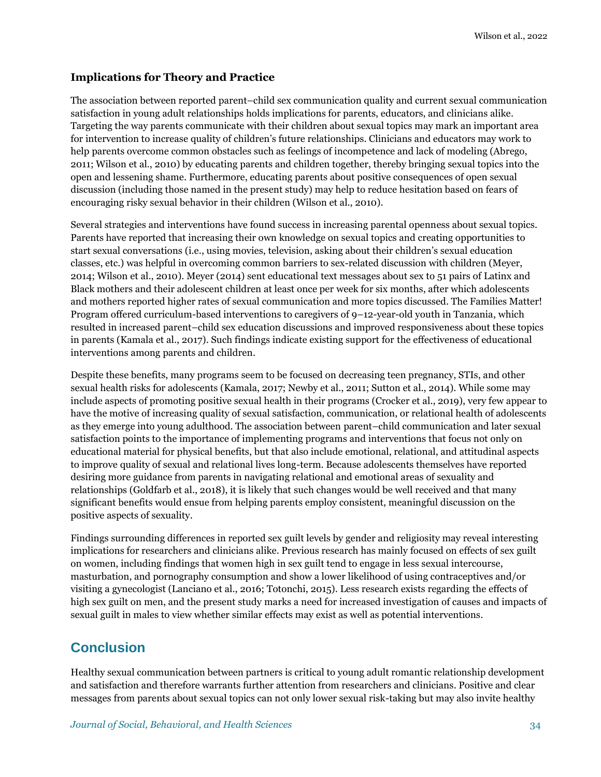### **Implications for Theory and Practice**

The association between reported parent–child sex communication quality and current sexual communication satisfaction in young adult relationships holds implications for parents, educators, and clinicians alike. Targeting the way parents communicate with their children about sexual topics may mark an important area for intervention to increase quality of children's future relationships. Clinicians and educators may work to help parents overcome common obstacles such as feelings of incompetence and lack of modeling (Abrego, 2011; Wilson et al., 2010) by educating parents and children together, thereby bringing sexual topics into the open and lessening shame. Furthermore, educating parents about positive consequences of open sexual discussion (including those named in the present study) may help to reduce hesitation based on fears of encouraging risky sexual behavior in their children (Wilson et al., 2010).

Several strategies and interventions have found success in increasing parental openness about sexual topics. Parents have reported that increasing their own knowledge on sexual topics and creating opportunities to start sexual conversations (i.e., using movies, television, asking about their children's sexual education classes, etc.) was helpful in overcoming common barriers to sex-related discussion with children (Meyer, 2014; Wilson et al., 2010). Meyer (2014) sent educational text messages about sex to 51 pairs of Latinx and Black mothers and their adolescent children at least once per week for six months, after which adolescents and mothers reported higher rates of sexual communication and more topics discussed. The Families Matter! Program offered curriculum-based interventions to caregivers of 9–12-year-old youth in Tanzania, which resulted in increased parent–child sex education discussions and improved responsiveness about these topics in parents (Kamala et al., 2017). Such findings indicate existing support for the effectiveness of educational interventions among parents and children.

Despite these benefits, many programs seem to be focused on decreasing teen pregnancy, STIs, and other sexual health risks for adolescents (Kamala, 2017; Newby et al., 2011; Sutton et al., 2014). While some may include aspects of promoting positive sexual health in their programs (Crocker et al., 2019), very few appear to have the motive of increasing quality of sexual satisfaction, communication, or relational health of adolescents as they emerge into young adulthood. The association between parent–child communication and later sexual satisfaction points to the importance of implementing programs and interventions that focus not only on educational material for physical benefits, but that also include emotional, relational, and attitudinal aspects to improve quality of sexual and relational lives long-term. Because adolescents themselves have reported desiring more guidance from parents in navigating relational and emotional areas of sexuality and relationships (Goldfarb et al., 2018), it is likely that such changes would be well received and that many significant benefits would ensue from helping parents employ consistent, meaningful discussion on the positive aspects of sexuality.

Findings surrounding differences in reported sex guilt levels by gender and religiosity may reveal interesting implications for researchers and clinicians alike. Previous research has mainly focused on effects of sex guilt on women, including findings that women high in sex guilt tend to engage in less sexual intercourse, masturbation, and pornography consumption and show a lower likelihood of using contraceptives and/or visiting a gynecologist (Lanciano et al., 2016; Totonchi, 2015). Less research exists regarding the effects of high sex guilt on men, and the present study marks a need for increased investigation of causes and impacts of sexual guilt in males to view whether similar effects may exist as well as potential interventions.

# **Conclusion**

Healthy sexual communication between partners is critical to young adult romantic relationship development and satisfaction and therefore warrants further attention from researchers and clinicians. Positive and clear messages from parents about sexual topics can not only lower sexual risk-taking but may also invite healthy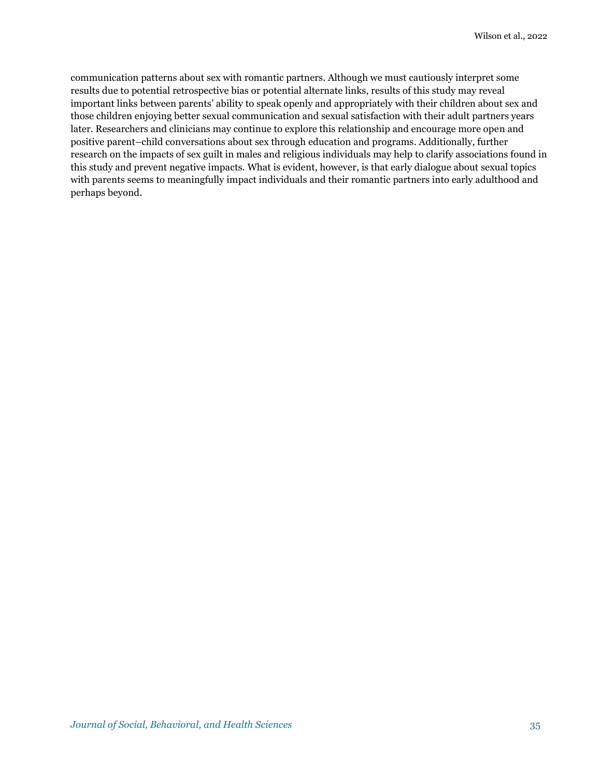communication patterns about sex with romantic partners. Although we must cautiously interpret some results due to potential retrospective bias or potential alternate links, results of this study may reveal important links between parents' ability to speak openly and appropriately with their children about sex and those children enjoying better sexual communication and sexual satisfaction with their adult partners years later. Researchers and clinicians may continue to explore this relationship and encourage more open and positive parent–child conversations about sex through education and programs. Additionally, further research on the impacts of sex guilt in males and religious individuals may help to clarify associations found in this study and prevent negative impacts. What is evident, however, is that early dialogue about sexual topics with parents seems to meaningfully impact individuals and their romantic partners into early adulthood and perhaps beyond.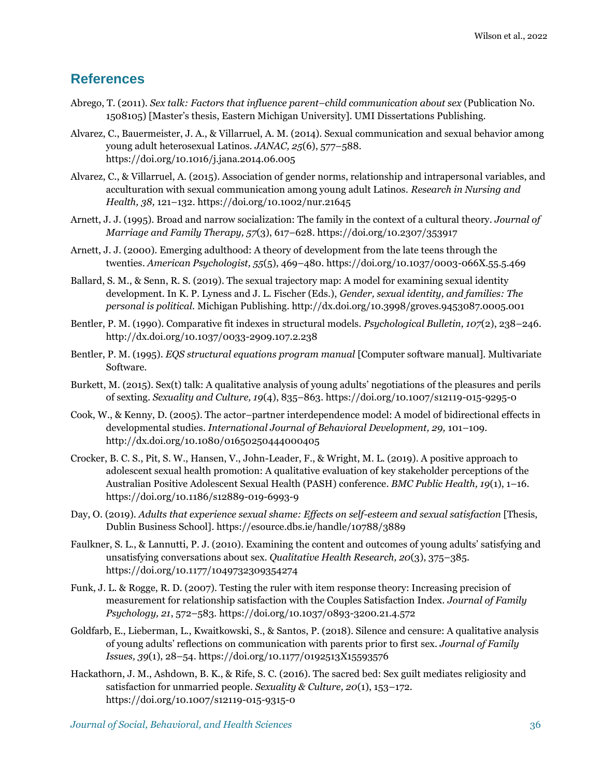### **References**

- Abrego, T. (2011). *Sex talk: Factors that influence parent–child communication about sex* (Publication No. 1508105) [Master's thesis, Eastern Michigan University]. UMI Dissertations Publishing.
- Alvarez, C., Bauermeister, J. A., & Villarruel, A. M. (2014). Sexual communication and sexual behavior among young adult heterosexual Latinos. *JANAC, 25*(6), 577–588. <https://doi.org/10.1016/j.jana.2014.06.005>
- Alvarez, C., & Villarruel, A. (2015). Association of gender norms, relationship and intrapersonal variables, and acculturation with sexual communication among young adult Latinos. *Research in Nursing and Health, 38,* 121–132.<https://doi.org/10.1002/nur.21645>
- Arnett, J. J. (1995). Broad and narrow socialization: The family in the context of a cultural theory. *Journal of Marriage and Family Therapy, 57*(3), 617–628.<https://doi.org/10.2307/353917>
- Arnett, J. J. (2000). Emerging adulthood: A theory of development from the late teens through the twenties. *American Psychologist, 55*(5), 469–480. <https://doi.org/10.1037/0003-066X.55.5.469>
- Ballard, S. M., & Senn, R. S. (2019). The sexual trajectory map: A model for examining sexual identity development. In K. P. Lyness and J. L. Fischer (Eds.), *Gender, sexual identity, and families: The personal is political.* Michigan Publishing.<http://dx.doi.org/10.3998/groves.9453087.0005.001>
- Bentler, P. M. (1990). Comparative fit indexes in structural models. *Psychological Bulletin, 107*(2), 238–246. <http://dx.doi.org/10.1037/0033-2909.107.2.238>
- Bentler, P. M. (1995). *EQS structural equations program manual* [Computer software manual]. Multivariate Software.
- Burkett, M. (2015). Sex(t) talk: A qualitative analysis of young adults' negotiations of the pleasures and perils of sexting. *Sexuality and Culture, 19*(4), 835–863. <https://doi.org/10.1007/s12119-015-9295-0>
- Cook, W., & Kenny, D. (2005). The actor–partner interdependence model: A model of bidirectional effects in developmental studies. *International Journal of Behavioral Development, 29,* 101–109. <http://dx.doi.org/10.1080/01650250444000405>
- Crocker, B. C. S., Pit, S. W., Hansen, V., John-Leader, F., & Wright, M. L. (2019). A positive approach to adolescent sexual health promotion: A qualitative evaluation of key stakeholder perceptions of the Australian Positive Adolescent Sexual Health (PASH) conference. *BMC Public Health, 19*(1), 1–16. <https://doi.org/10.1186/s12889-019-6993-9>
- Day, O. (2019). *Adults that experience sexual shame: Effects on self-esteem and sexual satisfaction* [Thesis, Dublin Business School]. <https://esource.dbs.ie/handle/10788/3889>
- Faulkner, S. L., & Lannutti, P. J. (2010). Examining the content and outcomes of young adults' satisfying and unsatisfying conversations about sex. *Qualitative Health Research, 20*(3), 375–385. <https://doi.org/10.1177/1049732309354274>
- Funk, J. L. & Rogge, R. D. (2007). Testing the ruler with item response theory: Increasing precision of measurement for relationship satisfaction with the Couples Satisfaction Index. *Journal of Family Psychology, 21*, 572–583.<https://doi.org/10.1037/0893-3200.21.4.572>
- Goldfarb, E., Lieberman, L., Kwaitkowski, S., & Santos, P. (2018). Silence and censure: A qualitative analysis of young adults' reflections on communication with parents prior to first sex. *Journal of Family Issues, 39*(1), 28–54[. https://doi.org/10.1177/0192513X15593576](https://doi.org/10.1177/0192513X15593576)
- Hackathorn, J. M., Ashdown, B. K., & Rife, S. C. (2016). The sacred bed: Sex guilt mediates religiosity and satisfaction for unmarried people. *Sexuality & Culture, 20*(1), 153–172. <https://doi.org/10.1007/s12119-015-9315-0>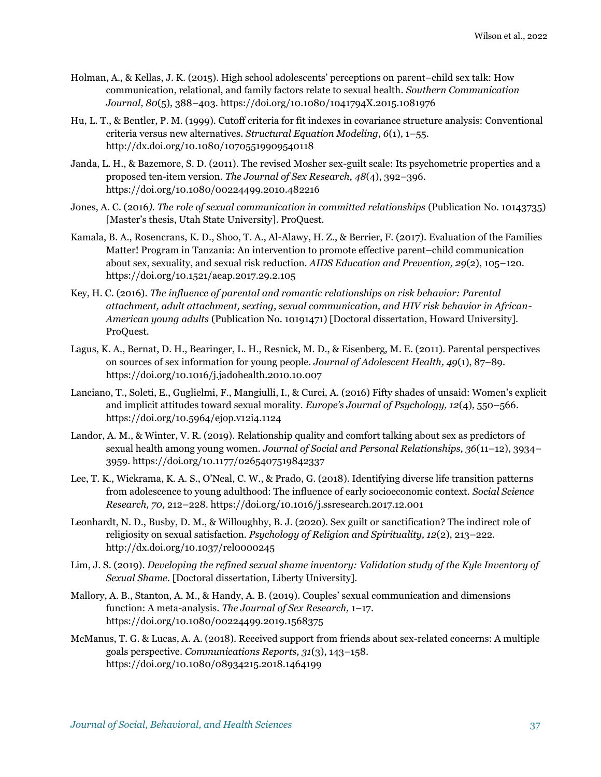- Holman, A., & Kellas, J. K. (2015). High school adolescents' perceptions on parent–child sex talk: How communication, relational, and family factors relate to sexual health. *Southern Communication Journal, 80*(5), 388–403.<https://doi.org/10.1080/1041794X.2015.1081976>
- Hu, L. T., & Bentler, P. M. (1999). Cutoff criteria for fit indexes in covariance structure analysis: Conventional criteria versus new alternatives. *Structural Equation Modeling, 6*(1), 1–55. <http://dx.doi.org/10.1080/10705519909540118>
- Janda, L. H., & Bazemore, S. D. (2011). The revised Mosher sex-guilt scale: Its psychometric properties and a proposed ten-item version. *The Journal of Sex Research, 48*(4), 392–396. <https://doi.org/10.1080/00224499.2010.482216>
- Jones, A. C. (2016*). The role of sexual communication in committed relationships* (Publication No. 10143735) [Master's thesis, Utah State University]. ProQuest.
- Kamala, B. A., Rosencrans, K. D., Shoo, T. A., Al-Alawy, H. Z., & Berrier, F. (2017). Evaluation of the Families Matter! Program in Tanzania: An intervention to promote effective parent–child communication about sex, sexuality, and sexual risk reduction. *AIDS Education and Prevention, 29*(2), 105–120. <https://doi.org/10.1521/aeap.2017.29.2.105>
- Key, H. C. (2016). *The influence of parental and romantic relationships on risk behavior: Parental attachment, adult attachment, sexting, sexual communication, and HIV risk behavior in African-American young adults* (Publication No. 10191471) [Doctoral dissertation, Howard University]. ProQuest.
- Lagus, K. A., Bernat, D. H., Bearinger, L. H., Resnick, M. D., & Eisenberg, M. E. (2011). Parental perspectives on sources of sex information for young people. *Journal of Adolescent Health, 49*(1), 87–89. <https://doi.org/10.1016/j.jadohealth.2010.10.007>
- Lanciano, T., Soleti, E., Guglielmi, F., Mangiulli, I., & Curci, A. (2016) Fifty shades of unsaid: Women's explicit and implicit attitudes toward sexual morality. *Europe's Journal of Psychology, 12*(4), 550–566. <https://doi.org/10.5964/ejop.v12i4.1124>
- Landor, A. M., & Winter, V. R. (2019). Relationship quality and comfort talking about sex as predictors of sexual health among young women. *Journal of Social and Personal Relationships, 36*(11–12), 3934– 3959. [https://doi.org/10.1177/0265407519842337](https://doi.org/10.1177%2F0265407519842337)
- Lee, T. K., Wickrama, K. A. S., O'Neal, C. W., & Prado, G. (2018). Identifying diverse life transition patterns from adolescence to young adulthood: The influence of early socioeconomic context. *Social Science Research, 70,* 212–228[. https://doi.org/10.1016/j.ssresearch.2017.12.001](https://doi.org/10.1016/j.ssresearch.2017.12.001)
- Leonhardt, N. D., Busby, D. M., & Willoughby, B. J. (2020). Sex guilt or sanctification? The indirect role of religiosity on sexual satisfaction. *Psychology of Religion and Spirituality, 12*(2), 213–222. <http://dx.doi.org/10.1037/rel0000245>
- Lim, J. S. (2019). *Developing the refined sexual shame inventory: Validation study of the Kyle Inventory of Sexual Shame.* [Doctoral dissertation, Liberty University].
- Mallory, A. B., Stanton, A. M., & Handy, A. B. (2019). Couples' sexual communication and dimensions function: A meta-analysis. *The Journal of Sex Research,* 1–17. <https://doi.org/10.1080/00224499.2019.1568375>
- McManus, T. G. & Lucas, A. A. (2018). Received support from friends about sex-related concerns: A multiple goals perspective. *Communications Reports, 31*(3), 143–158. <https://doi.org/10.1080/08934215.2018.1464199>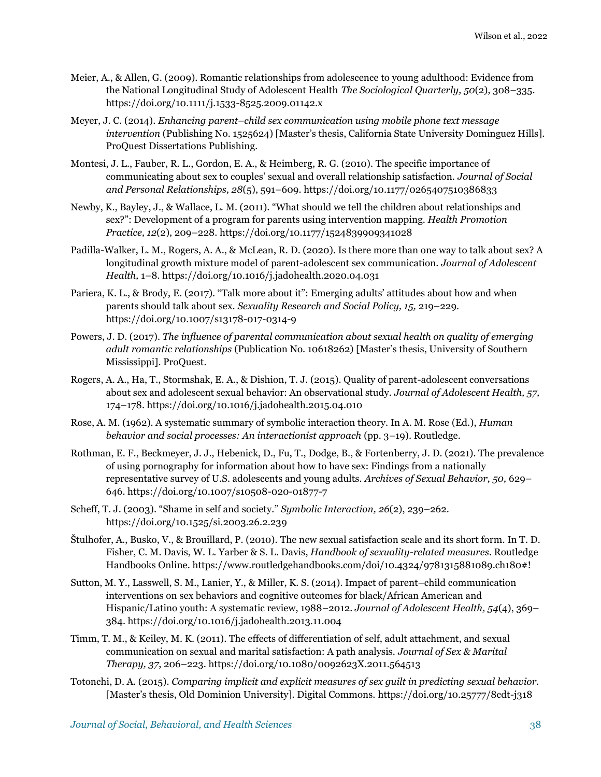- Meier, A., & Allen, G. (2009). Romantic relationships from adolescence to young adulthood: Evidence from the National Longitudinal Study of Adolescent Health *The Sociological Quarterly, 50*(2), 308–335. <https://doi.org/10.1111/j.1533-8525.2009.01142.x>
- Meyer, J. C. (2014). *Enhancing parent–child sex communication using mobile phone text message intervention* (Publishing No. 1525624) [Master's thesis, California State University Dominguez Hills]. ProQuest Dissertations Publishing.
- Montesi, J. L., Fauber, R. L., Gordon, E. A., & Heimberg, R. G. (2010). The specific importance of communicating about sex to couples' sexual and overall relationship satisfaction. *Journal of Social and Personal Relationships, 28*(5), 591–609[. https://doi.org/10.1177/0265407510386833](https://doi.org/10.1177/0265407510386833)
- Newby, K., Bayley, J., & Wallace, L. M. (2011). "What should we tell the children about relationships and sex?": Development of a program for parents using intervention mapping. *Health Promotion Practice, 12*(2), 209–228.<https://doi.org/10.1177/1524839909341028>
- Padilla-Walker, L. M., Rogers, A. A., & McLean, R. D. (2020). Is there more than one way to talk about sex? A longitudinal growth mixture model of parent-adolescent sex communication. *Journal of Adolescent Health,* 1–8[. https://doi.org/10.1016/j.jadohealth.2020.04.031](https://doi.org/10.1016/j.jadohealth.2020.04.031)
- Pariera, K. L., & Brody, E. (2017). "Talk more about it": Emerging adults' attitudes about how and when parents should talk about sex. *Sexuality Research and Social Policy, 15,* 219–229. <https://doi.org/10.1007/s13178-017-0314-9>
- Powers, J. D. (2017). *The influence of parental communication about sexual health on quality of emerging adult romantic relationships* (Publication No. 10618262) [Master's thesis, University of Southern Mississippi]. ProQuest.
- Rogers, A. A., Ha, T., Stormshak, E. A., & Dishion, T. J. (2015). Quality of parent-adolescent conversations about sex and adolescent sexual behavior: An observational study. *Journal of Adolescent Health, 57,* 174–178.<https://doi.org/10.1016/j.jadohealth.2015.04.010>
- Rose, A. M. (1962). A systematic summary of symbolic interaction theory. In A. M. Rose (Ed.), *Human behavior and social processes: An interactionist approach* (pp. 3–19). Routledge.
- Rothman, E. F., Beckmeyer, J. J., Hebenick, D., Fu, T., Dodge, B., & Fortenberry, J. D. (2021). The prevalence of using pornography for information about how to have sex: Findings from a nationally representative survey of U.S. adolescents and young adults. *Archives of Sexual Behavior, 50,* 629– 646.<https://doi.org/10.1007/s10508-020-01877-7>
- Scheff, T. J. (2003). "Shame in self and society." *Symbolic Interaction, 26*(2), 239–262. <https://doi.org/10.1525/si.2003.26.2.239>
- Štulhofer, A., Busko, V., & Brouillard, P. (2010). The new sexual satisfaction scale and its short form. In T. D. Fisher, C. M. Davis, W. L. Yarber & S. L. Davis, *Handbook of sexuality-related measures*. Routledge Handbooks Online. <https://www.routledgehandbooks.com/doi/10.4324/9781315881089.ch180#!>
- Sutton, M. Y., Lasswell, S. M., Lanier, Y., & Miller, K. S. (2014). Impact of parent–child communication interventions on sex behaviors and cognitive outcomes for black/African American and Hispanic/Latino youth: A systematic review, 1988–2012. *Journal of Adolescent Health, 54*(4), 369– 384.<https://doi.org/10.1016/j.jadohealth.2013.11.004>
- Timm, T. M., & Keiley, M. K. (2011). The effects of differentiation of self, adult attachment, and sexual communication on sexual and marital satisfaction: A path analysis. *Journal of Sex & Marital Therapy, 37*, 206–223[. https://doi.org/10.1080/0092623X.2011.564513](https://doi.org/10.1080/0092623X.2011.564513)
- Totonchi, D. A. (2015). *Comparing implicit and explicit measures of sex guilt in predicting sexual behavior.* [Master's thesis, Old Dominion University]. Digital Commons. <https://doi.org/10.25777/8cdt-j318>